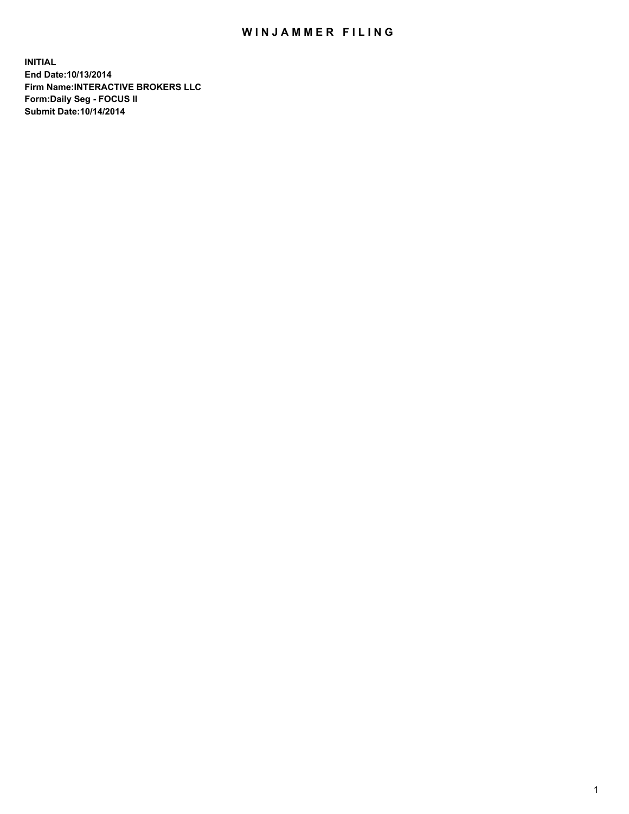## WIN JAMMER FILING

**INITIAL End Date:10/13/2014 Firm Name:INTERACTIVE BROKERS LLC Form:Daily Seg - FOCUS II Submit Date:10/14/2014**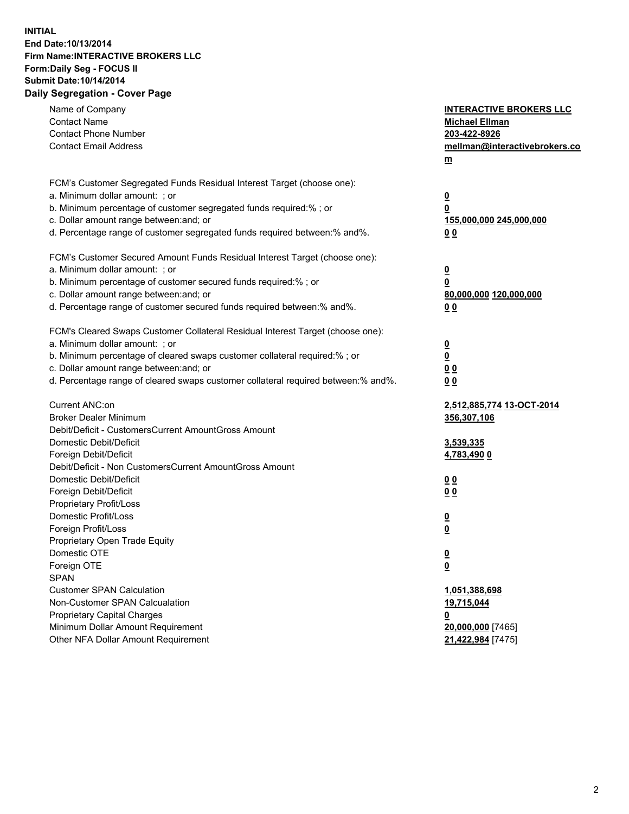## **INITIAL End Date:10/13/2014 Firm Name:INTERACTIVE BROKERS LLC Form:Daily Seg - FOCUS II Submit Date:10/14/2014 Daily Segregation - Cover Page**

| Name of Company<br><b>Contact Name</b><br><b>Contact Phone Number</b><br><b>Contact Email Address</b>                                                                                                                                                                                                                          | <b>INTERACTIVE BROKERS LLC</b><br><b>Michael Ellman</b><br>203-422-8926<br>mellman@interactivebrokers.co<br>$m$ |
|--------------------------------------------------------------------------------------------------------------------------------------------------------------------------------------------------------------------------------------------------------------------------------------------------------------------------------|-----------------------------------------------------------------------------------------------------------------|
| FCM's Customer Segregated Funds Residual Interest Target (choose one):<br>a. Minimum dollar amount: ; or<br>b. Minimum percentage of customer segregated funds required:% ; or<br>c. Dollar amount range between: and; or<br>d. Percentage range of customer segregated funds required between:% and%.                         | <u>0</u><br><u>0</u><br>155,000,000 245,000,000<br>0 <sub>0</sub>                                               |
| FCM's Customer Secured Amount Funds Residual Interest Target (choose one):<br>a. Minimum dollar amount: ; or<br>b. Minimum percentage of customer secured funds required:% ; or<br>c. Dollar amount range between: and; or<br>d. Percentage range of customer secured funds required between:% and%.                           | <u>0</u><br>0<br>80,000,000 120,000,000<br>0 <sub>0</sub>                                                       |
| FCM's Cleared Swaps Customer Collateral Residual Interest Target (choose one):<br>a. Minimum dollar amount: ; or<br>b. Minimum percentage of cleared swaps customer collateral required:% ; or<br>c. Dollar amount range between: and; or<br>d. Percentage range of cleared swaps customer collateral required between:% and%. | $\overline{\mathbf{0}}$<br>$\underline{\mathbf{0}}$<br>0 <sub>0</sub><br>0 <sub>0</sub>                         |
| Current ANC:on<br><b>Broker Dealer Minimum</b><br>Debit/Deficit - CustomersCurrent AmountGross Amount<br>Domestic Debit/Deficit<br>Foreign Debit/Deficit                                                                                                                                                                       | 2,512,885,774 13-OCT-2014<br>356,307,106<br>3,539,335<br>4,783,490 0                                            |
| Debit/Deficit - Non CustomersCurrent AmountGross Amount<br>Domestic Debit/Deficit<br>Foreign Debit/Deficit<br>Proprietary Profit/Loss<br>Domestic Profit/Loss<br>Foreign Profit/Loss                                                                                                                                           | 0 <sub>0</sub><br>0 <sub>0</sub><br><u>0</u><br><u>0</u>                                                        |
| Proprietary Open Trade Equity<br>Domestic OTE<br>Foreign OTE<br><b>SPAN</b><br><b>Customer SPAN Calculation</b>                                                                                                                                                                                                                | <u>0</u><br><u>0</u><br>1,051,388,698                                                                           |
| Non-Customer SPAN Calcualation<br><b>Proprietary Capital Charges</b><br>Minimum Dollar Amount Requirement<br>Other NFA Dollar Amount Requirement                                                                                                                                                                               | 19,715,044<br><u>0</u><br>20,000,000 [7465]<br>21,422,984 [7475]                                                |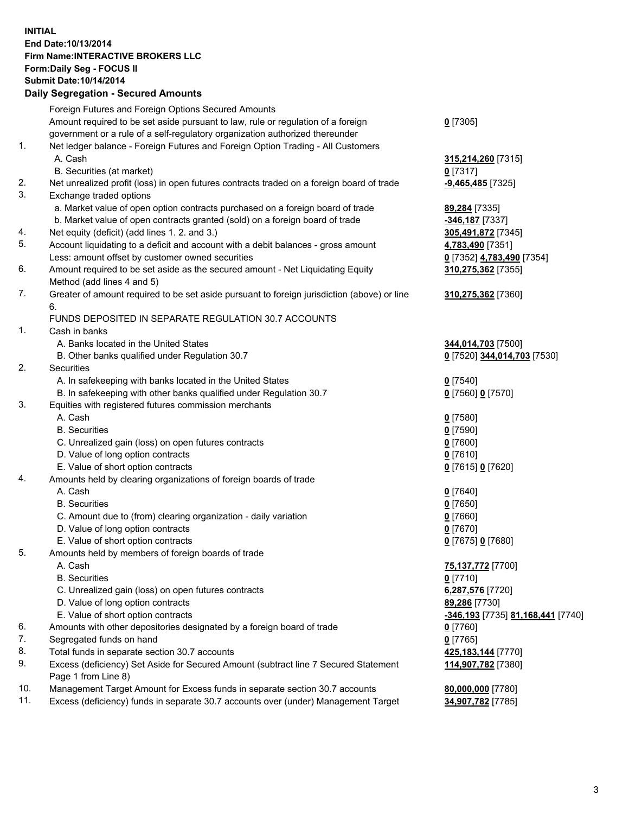## **INITIAL End Date:10/13/2014 Firm Name:INTERACTIVE BROKERS LLC Form:Daily Seg - FOCUS II Submit Date:10/14/2014 Daily Segregation - Secured Amounts**

|     | Foreign Futures and Foreign Options Secured Amounts                                                        |                                   |
|-----|------------------------------------------------------------------------------------------------------------|-----------------------------------|
|     | Amount required to be set aside pursuant to law, rule or regulation of a foreign                           | $0$ [7305]                        |
|     | government or a rule of a self-regulatory organization authorized thereunder                               |                                   |
| 1.  | Net ledger balance - Foreign Futures and Foreign Option Trading - All Customers                            |                                   |
|     | A. Cash                                                                                                    | 315,214,260 [7315]                |
|     | B. Securities (at market)                                                                                  | $0$ [7317]                        |
| 2.  | Net unrealized profit (loss) in open futures contracts traded on a foreign board of trade                  | -9,465,485 <sup>[7325]</sup>      |
| 3.  | Exchange traded options                                                                                    |                                   |
|     | a. Market value of open option contracts purchased on a foreign board of trade                             | 89,284 [7335]                     |
|     | b. Market value of open contracts granted (sold) on a foreign board of trade                               | -346,187 [7337]                   |
| 4.  | Net equity (deficit) (add lines 1. 2. and 3.)                                                              | 305,491,872 [7345]                |
| 5.  | Account liquidating to a deficit and account with a debit balances - gross amount                          | 4,783,490 [7351]                  |
|     | Less: amount offset by customer owned securities                                                           | 0 [7352] 4,783,490 [7354]         |
| 6.  | Amount required to be set aside as the secured amount - Net Liquidating Equity                             | 310,275,362 [7355]                |
|     | Method (add lines 4 and 5)                                                                                 |                                   |
| 7.  | Greater of amount required to be set aside pursuant to foreign jurisdiction (above) or line                | 310,275,362 [7360]                |
|     | 6.                                                                                                         |                                   |
|     | FUNDS DEPOSITED IN SEPARATE REGULATION 30.7 ACCOUNTS                                                       |                                   |
| 1.  | Cash in banks                                                                                              |                                   |
|     | A. Banks located in the United States                                                                      | 344,014,703 [7500]                |
|     | B. Other banks qualified under Regulation 30.7                                                             | 0 [7520] 344,014,703 [7530]       |
| 2.  | Securities                                                                                                 |                                   |
|     | A. In safekeeping with banks located in the United States                                                  | $0$ [7540]                        |
|     | B. In safekeeping with other banks qualified under Regulation 30.7                                         | 0 [7560] 0 [7570]                 |
| 3.  | Equities with registered futures commission merchants                                                      |                                   |
|     | A. Cash                                                                                                    | $0$ [7580]                        |
|     | <b>B.</b> Securities                                                                                       | $0$ [7590]                        |
|     | C. Unrealized gain (loss) on open futures contracts                                                        | $0$ [7600]                        |
|     | D. Value of long option contracts                                                                          | $0$ [7610]                        |
|     | E. Value of short option contracts                                                                         | 0 [7615] 0 [7620]                 |
| 4.  | Amounts held by clearing organizations of foreign boards of trade                                          |                                   |
|     | A. Cash                                                                                                    | $0$ [7640]                        |
|     | <b>B.</b> Securities                                                                                       | $0$ [7650]                        |
|     | C. Amount due to (from) clearing organization - daily variation                                            | $0$ [7660]                        |
|     | D. Value of long option contracts                                                                          | $0$ [7670]                        |
|     | E. Value of short option contracts                                                                         | 0 [7675] 0 [7680]                 |
| 5.  | Amounts held by members of foreign boards of trade                                                         |                                   |
|     | A. Cash                                                                                                    | 75,137,772 [7700]                 |
|     | <b>B.</b> Securities                                                                                       | $0$ [7710]                        |
|     | C. Unrealized gain (loss) on open futures contracts                                                        | 6,287,576 [7720]                  |
|     | D. Value of long option contracts                                                                          | 89,286 [7730]                     |
|     | E. Value of short option contracts                                                                         | -346,193 [7735] 81,168,441 [7740] |
| 6.  | Amounts with other depositories designated by a foreign board of trade                                     | $0$ [7760]                        |
| 7.  | Segregated funds on hand                                                                                   | $0$ [7765]                        |
| 8.  | Total funds in separate section 30.7 accounts                                                              | 425,183,144 [7770]                |
| 9.  | Excess (deficiency) Set Aside for Secured Amount (subtract line 7 Secured Statement<br>Page 1 from Line 8) | 114,907,782 [7380]                |
| 10. | Management Target Amount for Excess funds in separate section 30.7 accounts                                | 80,000,000 [7780]                 |
| 11. | Excess (deficiency) funds in separate 30.7 accounts over (under) Management Target                         | 34,907,782 [7785]                 |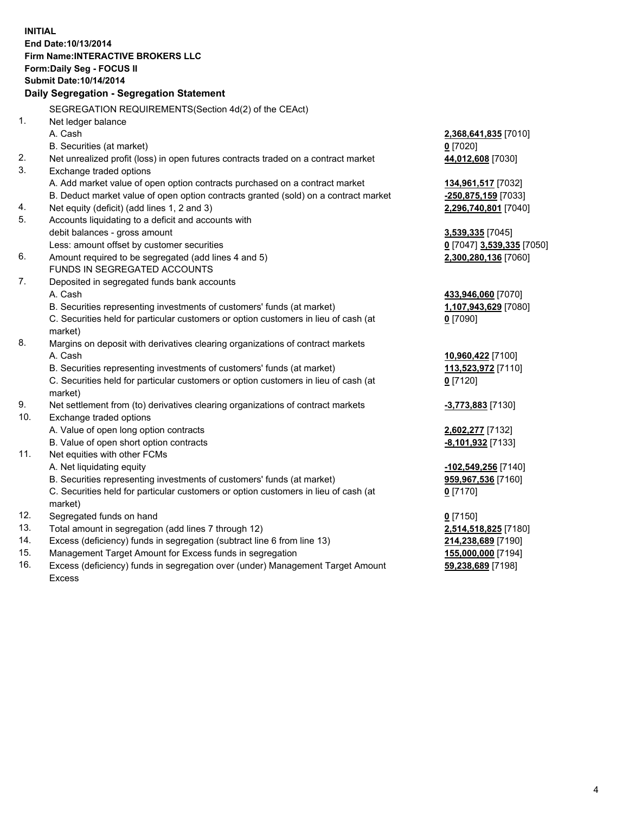**INITIAL End Date:10/13/2014 Firm Name:INTERACTIVE BROKERS LLC Form:Daily Seg - FOCUS II Submit Date:10/14/2014 Daily Segregation - Segregation Statement** SEGREGATION REQUIREMENTS(Section 4d(2) of the CEAct) 1. Net ledger balance A. Cash **2,368,641,835** [7010] B. Securities (at market) **0** [7020] 2. Net unrealized profit (loss) in open futures contracts traded on a contract market **44,012,608** [7030] 3. Exchange traded options A. Add market value of open option contracts purchased on a contract market **134,961,517** [7032] B. Deduct market value of open option contracts granted (sold) on a contract market **-250,875,159** [7033] 4. Net equity (deficit) (add lines 1, 2 and 3) **2,296,740,801** [7040] 5. Accounts liquidating to a deficit and accounts with debit balances - gross amount **3,539,335** [7045] Less: amount offset by customer securities **0** [7047] **3,539,335** [7050] 6. Amount required to be segregated (add lines 4 and 5) **2,300,280,136** [7060] FUNDS IN SEGREGATED ACCOUNTS 7. Deposited in segregated funds bank accounts A. Cash **433,946,060** [7070] B. Securities representing investments of customers' funds (at market) **1,107,943,629** [7080] C. Securities held for particular customers or option customers in lieu of cash (at market) **0** [7090] 8. Margins on deposit with derivatives clearing organizations of contract markets A. Cash **10,960,422** [7100] B. Securities representing investments of customers' funds (at market) **113,523,972** [7110] C. Securities held for particular customers or option customers in lieu of cash (at market) **0** [7120] 9. Net settlement from (to) derivatives clearing organizations of contract markets **-3,773,883** [7130] 10. Exchange traded options A. Value of open long option contracts **2,602,277** [7132] B. Value of open short option contracts **-8,101,932** [7133] 11. Net equities with other FCMs A. Net liquidating equity **-102,549,256** [7140] B. Securities representing investments of customers' funds (at market) **959,967,536** [7160] C. Securities held for particular customers or option customers in lieu of cash (at market) **0** [7170] 12. Segregated funds on hand **0** [7150] 13. Total amount in segregation (add lines 7 through 12) **2,514,518,825** [7180] 14. Excess (deficiency) funds in segregation (subtract line 6 from line 13) **214,238,689** [7190] 15. Management Target Amount for Excess funds in segregation **155,000,000** [7194]

16. Excess (deficiency) funds in segregation over (under) Management Target Amount Excess

**59,238,689** [7198]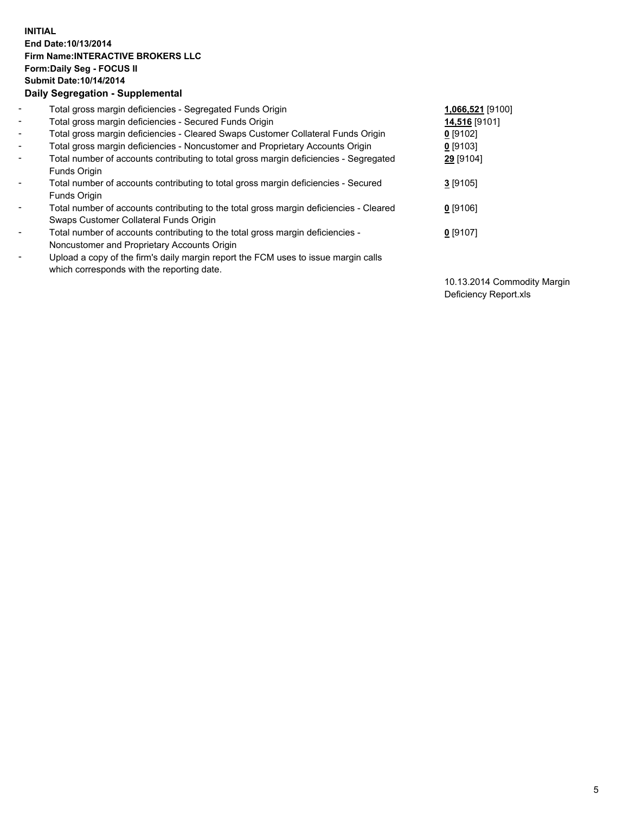## **INITIAL End Date:10/13/2014 Firm Name:INTERACTIVE BROKERS LLC Form:Daily Seg - FOCUS II Submit Date:10/14/2014 Daily Segregation - Supplemental**

| $\blacksquare$ | Total gross margin deficiencies - Segregated Funds Origin                              | 1,066,521 [9100] |
|----------------|----------------------------------------------------------------------------------------|------------------|
| $\blacksquare$ | Total gross margin deficiencies - Secured Funds Origin                                 | 14,516 [9101]    |
| $\blacksquare$ | Total gross margin deficiencies - Cleared Swaps Customer Collateral Funds Origin       | $0$ [9102]       |
| $\blacksquare$ | Total gross margin deficiencies - Noncustomer and Proprietary Accounts Origin          | 0 [9103]         |
| $\blacksquare$ | Total number of accounts contributing to total gross margin deficiencies - Segregated  | 29 [9104]        |
|                | Funds Origin                                                                           |                  |
| $\blacksquare$ | Total number of accounts contributing to total gross margin deficiencies - Secured     | 3 [9105]         |
|                | Funds Origin                                                                           |                  |
| $\blacksquare$ | Total number of accounts contributing to the total gross margin deficiencies - Cleared | $0$ [9106]       |
|                | Swaps Customer Collateral Funds Origin                                                 |                  |
| $\blacksquare$ | Total number of accounts contributing to the total gross margin deficiencies -         | $0$ [9107]       |
|                | Noncustomer and Proprietary Accounts Origin                                            |                  |
| $\blacksquare$ | Upload a copy of the firm's daily margin report the FCM uses to issue margin calls     |                  |
|                | which corresponds with the reporting date.                                             |                  |

10.13.2014 Commodity Margin Deficiency Report.xls